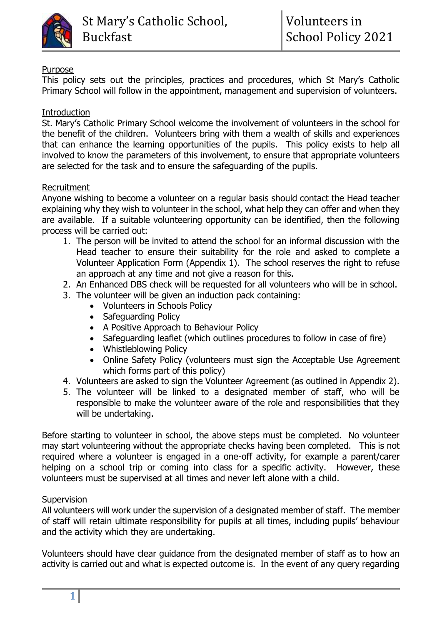

## Purpose

This policy sets out the principles, practices and procedures, which St Mary's Catholic Primary School will follow in the appointment, management and supervision of volunteers.

## **Introduction**

St. Mary's Catholic Primary School welcome the involvement of volunteers in the school for the benefit of the children. Volunteers bring with them a wealth of skills and experiences that can enhance the learning opportunities of the pupils. This policy exists to help all involved to know the parameters of this involvement, to ensure that appropriate volunteers are selected for the task and to ensure the safeguarding of the pupils.

## Recruitment

Anyone wishing to become a volunteer on a regular basis should contact the Head teacher explaining why they wish to volunteer in the school, what help they can offer and when they are available. If a suitable volunteering opportunity can be identified, then the following process will be carried out:

- 1. The person will be invited to attend the school for an informal discussion with the Head teacher to ensure their suitability for the role and asked to complete a Volunteer Application Form (Appendix 1). The school reserves the right to refuse an approach at any time and not give a reason for this.
- 2. An Enhanced DBS check will be requested for all volunteers who will be in school.
- 3. The volunteer will be given an induction pack containing:
	- Volunteers in Schools Policy
	- Safeguarding Policy
	- A Positive Approach to Behaviour Policy
	- Safeguarding leaflet (which outlines procedures to follow in case of fire)
	- Whistleblowing Policy
	- Online Safety Policy (volunteers must sign the Acceptable Use Agreement which forms part of this policy)
- 4. Volunteers are asked to sign the Volunteer Agreement (as outlined in Appendix 2).
- 5. The volunteer will be linked to a designated member of staff, who will be responsible to make the volunteer aware of the role and responsibilities that they will be undertaking.

Before starting to volunteer in school, the above steps must be completed. No volunteer may start volunteering without the appropriate checks having been completed. This is not required where a volunteer is engaged in a one-off activity, for example a parent/carer helping on a school trip or coming into class for a specific activity. However, these volunteers must be supervised at all times and never left alone with a child.

#### **Supervision**

All volunteers will work under the supervision of a designated member of staff. The member of staff will retain ultimate responsibility for pupils at all times, including pupils' behaviour and the activity which they are undertaking.

Volunteers should have clear guidance from the designated member of staff as to how an activity is carried out and what is expected outcome is. In the event of any query regarding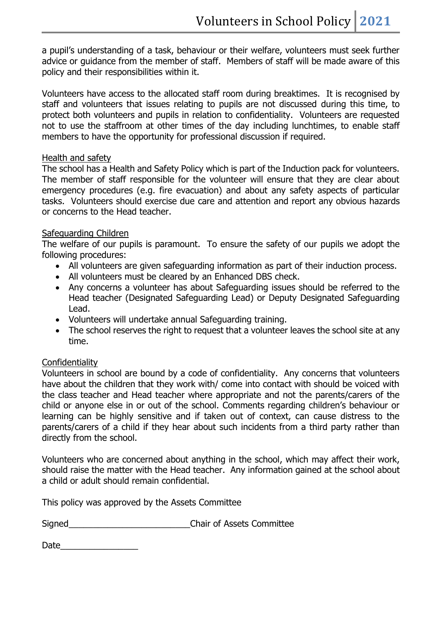a pupil's understanding of a task, behaviour or their welfare, volunteers must seek further advice or guidance from the member of staff. Members of staff will be made aware of this policy and their responsibilities within it.

Volunteers have access to the allocated staff room during breaktimes. It is recognised by staff and volunteers that issues relating to pupils are not discussed during this time, to protect both volunteers and pupils in relation to confidentiality. Volunteers are requested not to use the staffroom at other times of the day including lunchtimes, to enable staff members to have the opportunity for professional discussion if required.

#### Health and safety

The school has a Health and Safety Policy which is part of the Induction pack for volunteers. The member of staff responsible for the volunteer will ensure that they are clear about emergency procedures (e.g. fire evacuation) and about any safety aspects of particular tasks. Volunteers should exercise due care and attention and report any obvious hazards or concerns to the Head teacher.

#### Safeguarding Children

The welfare of our pupils is paramount. To ensure the safety of our pupils we adopt the following procedures:

- All volunteers are given safeguarding information as part of their induction process.
- All volunteers must be cleared by an Enhanced DBS check.
- Any concerns a volunteer has about Safeguarding issues should be referred to the Head teacher (Designated Safeguarding Lead) or Deputy Designated Safeguarding Lead.
- Volunteers will undertake annual Safeguarding training.
- The school reserves the right to request that a volunteer leaves the school site at any time.

#### **Confidentiality**

Volunteers in school are bound by a code of confidentiality. Any concerns that volunteers have about the children that they work with/ come into contact with should be voiced with the class teacher and Head teacher where appropriate and not the parents/carers of the child or anyone else in or out of the school. Comments regarding children's behaviour or learning can be highly sensitive and if taken out of context, can cause distress to the parents/carers of a child if they hear about such incidents from a third party rather than directly from the school.

Volunteers who are concerned about anything in the school, which may affect their work, should raise the matter with the Head teacher. Any information gained at the school about a child or adult should remain confidential.

This policy was approved by the Assets Committee

Signed<br>
Signed<br>
Signed<br>
Signed<br>
Signed<br>
Signed<br>
Signed<br>
Signed<br>
Signed<br>
Signed<br>
Signed<br>
Signed<br>
Signed<br>
Signed<br>
Signed<br>
Signed<br>
Signed<br>
Signed<br>
Signed<br>
Signed<br>
Signed<br>
Signed<br>
Signed<br>
Signed<br>
Signed<br>
Signed<br>
Signed<br>
Signed

Date\_\_\_\_\_\_\_\_\_\_\_\_\_\_\_\_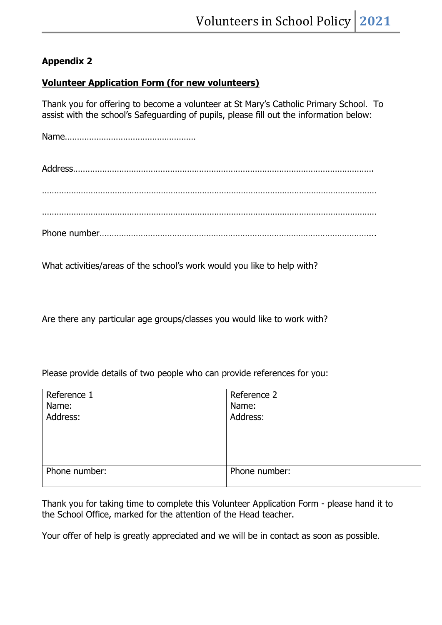# **Appendix 2**

## **Volunteer Application Form (for new volunteers)**

Thank you for offering to become a volunteer at St Mary's Catholic Primary School. To assist with the school's Safeguarding of pupils, please fill out the information below:

Name………………………………………………

Address……………………………………………………………………………………………………………. ………………………………………………………………………………………………………………………… ………………………………………………………………………………………………………………………… Phone number…………………………………………………………………………………………………...

What activities/areas of the school's work would you like to help with?

Are there any particular age groups/classes you would like to work with?

Please provide details of two people who can provide references for you:

| Reference 1   | Reference 2   |
|---------------|---------------|
| Name:         | Name:         |
| Address:      | Address:      |
|               |               |
|               |               |
|               |               |
|               |               |
| Phone number: | Phone number: |
|               |               |

Thank you for taking time to complete this Volunteer Application Form - please hand it to the School Office, marked for the attention of the Head teacher.

Your offer of help is greatly appreciated and we will be in contact as soon as possible.